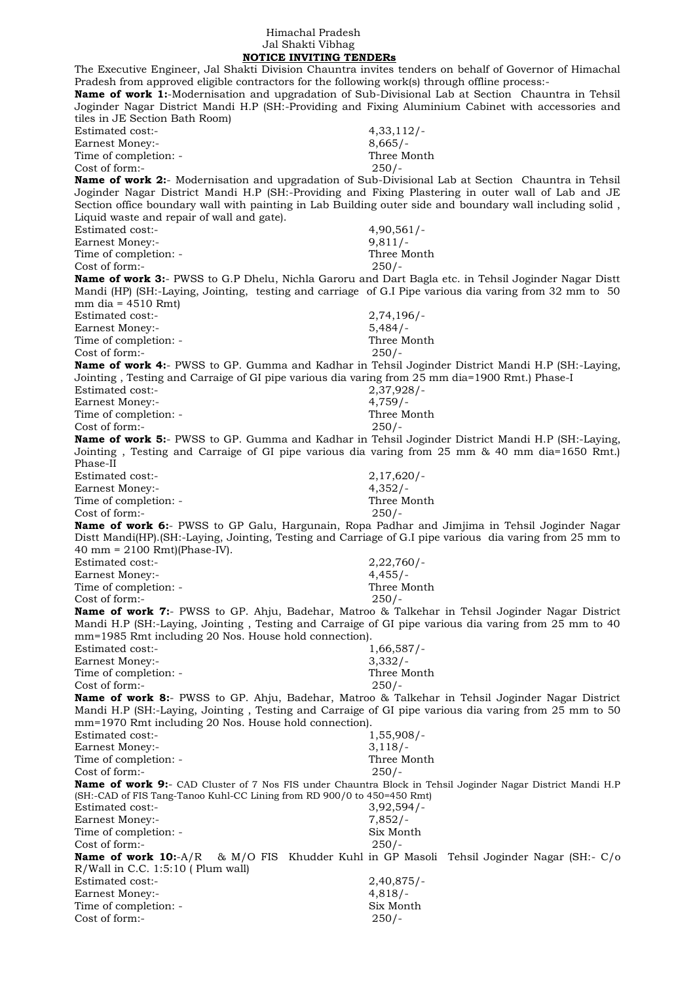## Himachal Pradesh Jal Shakti Vibhag  **NOTICE INVITING TENDERs**

The Executive Engineer, Jal Shakti Division Chauntra invites tenders on behalf of Governor of Himachal Pradesh from approved eligible contractors for the following work(s) through offline process:- **Name of work 1:**-Modernisation and upgradation of Sub-Divisional Lab at Section Chauntra in Tehsil Joginder Nagar District Mandi H.P (SH:-Providing and Fixing Aluminium Cabinet with accessories and tiles in JE Section Bath Room) Estimated cost:- 4,33,112/- Earnest Money:- 8,665/-Time of completion: - Three Month Cost of form:- 250/- **Name of work 2:**- Modernisation and upgradation of Sub-Divisional Lab at Section Chauntra in Tehsil Joginder Nagar District Mandi H.P (SH:-Providing and Fixing Plastering in outer wall of Lab and JE Section office boundary wall with painting in Lab Building outer side and boundary wall including solid , Liquid waste and repair of wall and gate). Estimated cost:- 4,90,561/- Earnest Money:- 9,811/-Time of completion: - Three Month Cost of form:- 250/- **Name of work 3:**- PWSS to G.P Dhelu, Nichla Garoru and Dart Bagla etc. in Tehsil Joginder Nagar Distt Mandi (HP) (SH:-Laying, Jointing, testing and carriage of G.I Pipe various dia varing from 32 mm to 50 mm dia = 4510 Rmt) Estimated cost:- 2,74,196/- Earnest Money:- 5,484/- Time of completion: - Three Month Cost of form:- 250/- **Name of work 4:**- PWSS to GP. Gumma and Kadhar in Tehsil Joginder District Mandi H.P (SH:-Laying, Jointing , Testing and Carraige of GI pipe various dia varing from 25 mm dia=1900 Rmt.) Phase-I Estimated cost:-Earnest Money:- 4,759/-Time of completion: - Three Month Cost of form:- 250/- **Name of work 5:**- PWSS to GP. Gumma and Kadhar in Tehsil Joginder District Mandi H.P (SH:-Laying, Jointing , Testing and Carraige of GI pipe various dia varing from 25 mm & 40 mm dia=1650 Rmt.) Phase-II Estimated cost:- 2,17,620/- Earnest Money:- 4,352/-Time of completion: - Three Month Cost of form:- 250/- **Name of work 6:**- PWSS to GP Galu, Hargunain, Ropa Padhar and Jimjima in Tehsil Joginder Nagar Distt Mandi(HP).(SH:-Laying, Jointing, Testing and Carriage of G.I pipe various dia varing from 25 mm to 40 mm = 2100 Rmt)(Phase-IV). Estimated cost:- 2,22,760/- Earnest Money:- 4,455/-Time of completion: - Three Month Cost of form:- 250/- **Name of work 7:**- PWSS to GP. Ahju, Badehar, Matroo & Talkehar in Tehsil Joginder Nagar District Mandi H.P (SH:-Laying, Jointing , Testing and Carraige of GI pipe various dia varing from 25 mm to 40 mm=1985 Rmt including 20 Nos. House hold connection). Estimated cost:-Earnest Money:- 3,332/- Time of completion:  $\overline{\phantom{a}}$  and  $\overline{\phantom{a}}$  and  $\overline{\phantom{a}}$  and  $\overline{\phantom{a}}$  and  $\overline{\phantom{a}}$  and  $\overline{\phantom{a}}$  and  $\overline{\phantom{a}}$  and  $\overline{\phantom{a}}$  and  $\overline{\phantom{a}}$  and  $\overline{\phantom{a}}$  and  $\overline{\phantom{a}}$  and  $\overline{\phantom{a}}$  and  $\overline{\phantom{a}}$ Cost of form:- 250/- **Name of work 8:**- PWSS to GP. Ahju, Badehar, Matroo & Talkehar in Tehsil Joginder Nagar District Mandi H.P (SH:-Laying, Jointing , Testing and Carraige of GI pipe various dia varing from 25 mm to 50 mm=1970 Rmt including 20 Nos. House hold connection). Estimated cost:- 1,55,908/-Earnest Money:- 3,118/-Time of completion: - Three Month Cost of form:- 250/- **Name of work 9:**- CAD Cluster of 7 Nos FIS under Chauntra Block in Tehsil Joginder Nagar District Mandi H.P (SH:-CAD of FIS Tang-Tanoo Kuhl-CC Lining from RD 900/0 to 450=450 Rmt) Estimated cost:- 3,92,594/- Earnest Money:- 7,852/-Time of completion: - Six Month Cost of form:- 250/- **Name of work 10:**-A/R & M/O FIS Khudder Kuhl in GP Masoli Tehsil Joginder Nagar (SH:- C/o R/Wall in C.C. 1:5:10 ( Plum wall) Estimated cost:- 2,40,875/- Earnest Money:- 4,818/-Time of completion: - Time of completion: -Cost of form:- 250/-